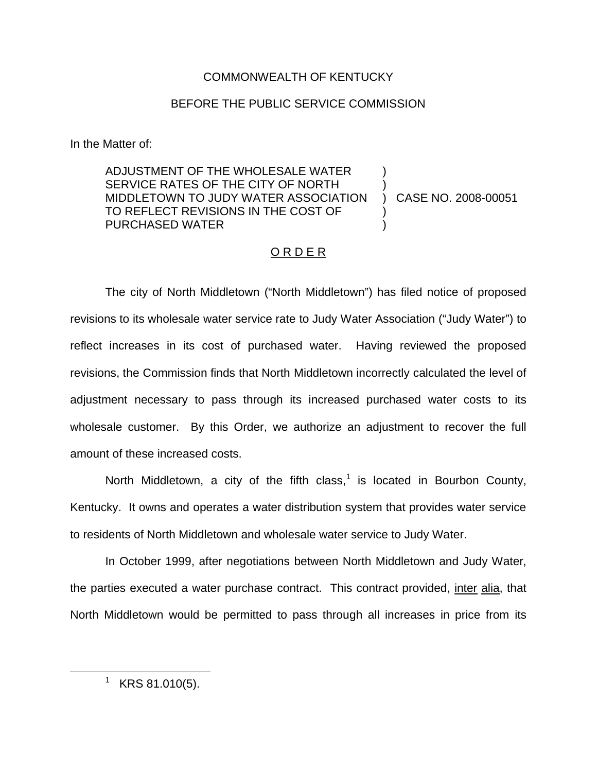### COMMONWEALTH OF KENTUCKY

### BEFORE THE PUBLIC SERVICE COMMISSION

In the Matter of:

ADJUSTMENT OF THE WHOLESALE WATER SERVICE RATES OF THE CITY OF NORTH MIDDLETOWN TO JUDY WATER ASSOCIATION TO REFLECT REVISIONS IN THE COST OF PURCHASED WATER ) ) ) CASE NO. 2008-00051 ) )

### ORDER

The city of North Middletown ("North Middletown") has filed notice of proposed revisions to its wholesale water service rate to Judy Water Association ("Judy Water") to reflect increases in its cost of purchased water. Having reviewed the proposed revisions, the Commission finds that North Middletown incorrectly calculated the level of adjustment necessary to pass through its increased purchased water costs to its wholesale customer. By this Order, we authorize an adjustment to recover the full amount of these increased costs.

North Middletown, a city of the fifth class,<sup>1</sup> is located in Bourbon County, Kentucky. It owns and operates a water distribution system that provides water service to residents of North Middletown and wholesale water service to Judy Water.

In October 1999, after negotiations between North Middletown and Judy Water, the parties executed a water purchase contract. This contract provided, inter alia, that North Middletown would be permitted to pass through all increases in price from its

 $1$  KRS 81.010(5).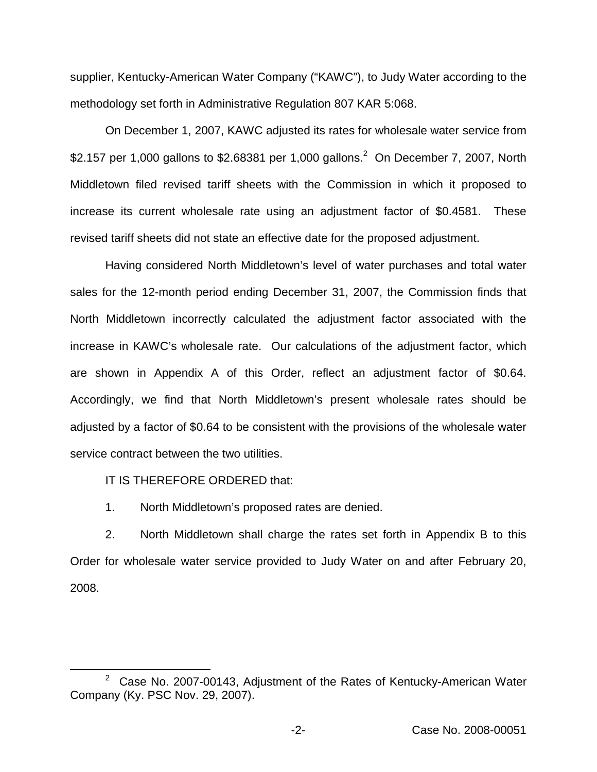supplier, Kentucky-American Water Company ("KAWC"), to Judy Water according to the methodology set forth in Administrative Regulation 807 KAR 5:068.

On December 1, 2007, KAWC adjusted its rates for wholesale water service from \$2.157 per 1,000 gallons to \$2.68381 per 1,000 gallons.<sup>2</sup> On December 7, 2007, North Middletown filed revised tariff sheets with the Commission in which it proposed to increase its current wholesale rate using an adjustment factor of \$0.4581. These revised tariff sheets did not state an effective date for the proposed adjustment.

Having considered North Middletown's level of water purchases and total water sales for the 12-month period ending December 31, 2007, the Commission finds that North Middletown incorrectly calculated the adjustment factor associated with the increase in KAWC's wholesale rate. Our calculations of the adjustment factor, which are shown in Appendix A of this Order, reflect an adjustment factor of \$0.64. Accordingly, we find that North Middletown's present wholesale rates should be adjusted by a factor of \$0.64 to be consistent with the provisions of the wholesale water service contract between the two utilities.

IT IS THEREFORE ORDERED that:

1. North Middletown's proposed rates are denied.

2. North Middletown shall charge the rates set forth in Appendix B to this Order for wholesale water service provided to Judy Water on and after February 20, 2008.

 $2^2$  Case No. 2007-00143, Adjustment of the Rates of Kentucky-American Water Company (Ky. PSC Nov. 29, 2007).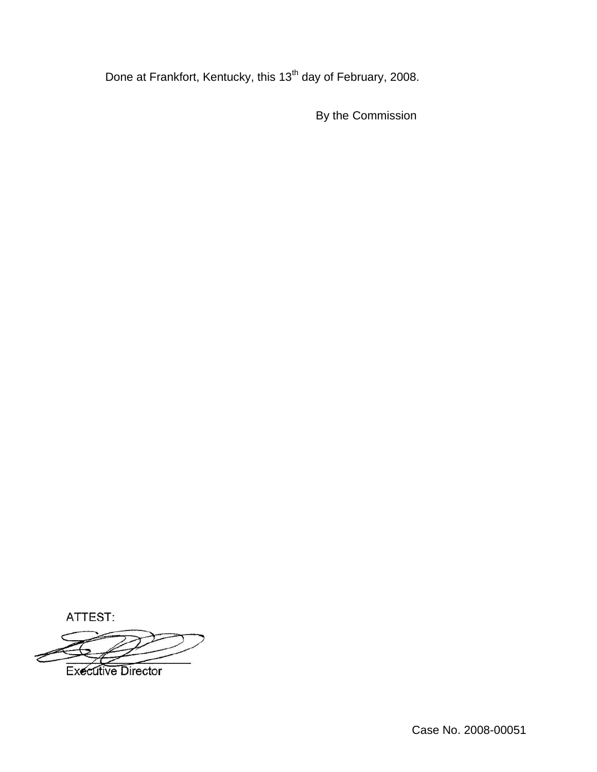Done at Frankfort, Kentucky, this 13<sup>th</sup> day of February, 2008.

By the Commission

ATTEST:

**Executive Director**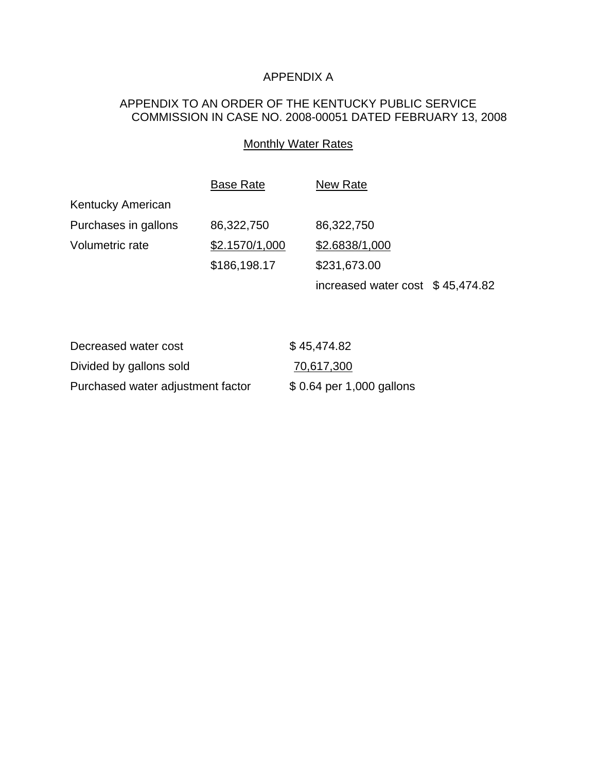# APPENDIX A

## APPENDIX TO AN ORDER OF THE KENTUCKY PUBLIC SERVICE COMMISSION IN CASE NO. 2008-00051 DATED FEBRUARY 13, 2008

### **Monthly Water Rates**

|                      | <b>Base Rate</b> | New Rate                          |  |
|----------------------|------------------|-----------------------------------|--|
| Kentucky American    |                  |                                   |  |
| Purchases in gallons | 86,322,750       | 86,322,750                        |  |
| Volumetric rate      | \$2.1570/1,000   | \$2.6838/1,000                    |  |
|                      | \$186,198.17     | \$231,673.00                      |  |
|                      |                  | increased water cost $$45,474.82$ |  |

| Decreased water cost              | \$45,474.82               |
|-----------------------------------|---------------------------|
| Divided by gallons sold           | 70,617,300                |
| Purchased water adjustment factor | \$ 0.64 per 1,000 gallons |